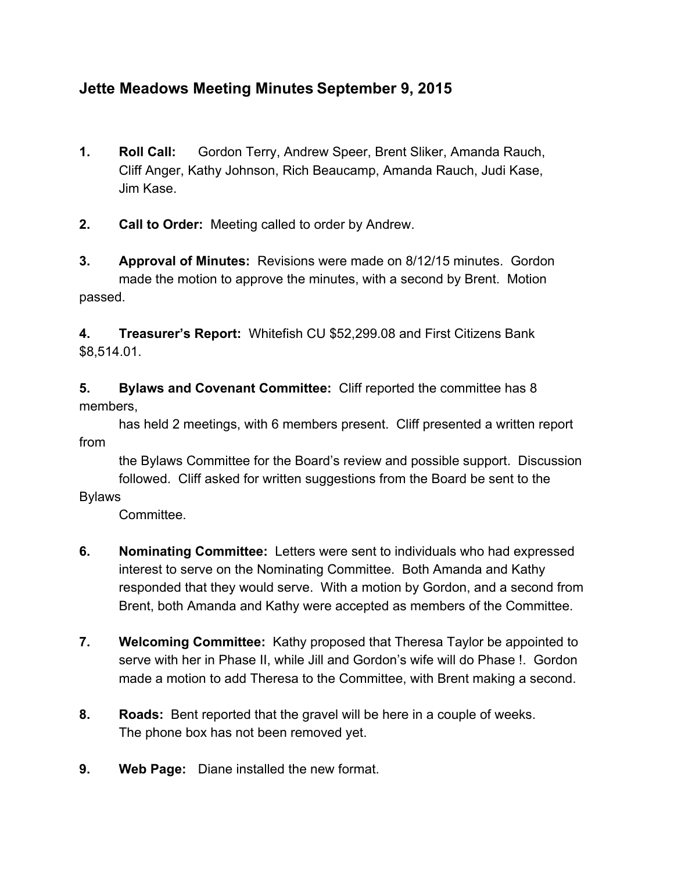## **Jette Meadows Meeting Minutes September 9, 2015**

- **1. Roll Call:** Gordon Terry, Andrew Speer, Brent Sliker, Amanda Rauch, Cliff Anger, Kathy Johnson, Rich Beaucamp, Amanda Rauch, Judi Kase, Jim Kase.
- **2. Call to Order:** Meeting called to order by Andrew.
- **3. Approval of Minutes:**Revisions were made on 8/12/15 minutes. Gordon made the motion to approve the minutes, with a second by Brent. Motion passed.

**4. Treasurer's Report:** Whitefish CU \$52,299.08 and First Citizens Bank \$8,514.01.

**5. Bylaws and Covenant Committee:** Cliff reported the committee has 8 members,

has held 2 meetings, with 6 members present. Cliff presented a written report from

the Bylaws Committee for the Board's review and possible support. Discussion followed. Cliff asked for written suggestions from the Board be sent to the

## Bylaws

Committee.

- **6. Nominating Committee:**Letters were sent to individuals who had expressed interest to serve on the Nominating Committee. Both Amanda and Kathy responded that they would serve. With a motion by Gordon, and a second from Brent, both Amanda and Kathy were accepted as members of the Committee.
- **7. Welcoming Committee:**Kathy proposed that Theresa Taylor be appointed to serve with her in Phase II, while Jill and Gordon's wife will do Phase !. Gordon made a motion to add Theresa to the Committee, with Brent making a second.
- **8. Roads:** Bent reported that the gravel will be here in a couple of weeks. The phone box has not been removed yet.
- **9. Web Page:** Diane installed the new format.